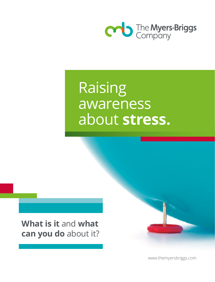

## Raising awareness about **stress.**

**What is it** and **what can you do** about it?

www.themyersbriggs.com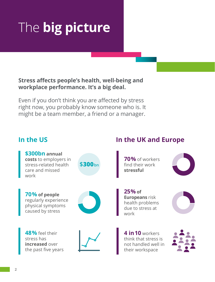# The **big picture**

#### **Stress affects people's health, well-being and workplace performance. It's a big deal.**

Even if you don't think you are affected by stress right now, you probably know someone who is. It might be a team member, a friend or a manager.

#### **In the US**

**\$300bn annual costs** to employers in stress-related health care and missed work



**70% of people** regularly experience physical symptoms caused by stress

**48%** feel their stress has **increased** over the past five years





#### **In the UK and Europe**

**70%** of workers find their work **stressful**



**25% of Europeans** risk health problems due to stress at work



**4 in10** workers think that stress is not handled well in their workspace

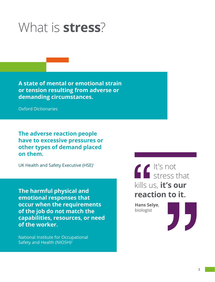### What is **stress**?

**A state of mental or emotional strain or tension resulting from adverse or demanding circumstances.**

Oxford Dictionaries

**The adverse reaction people have to excessive pressures or other types of demand placed on them.**

UK Health and Safety Executive (HSE)<sup>1</sup>

**The harmful physical and emotional responses that occur when the requirements of the job do not match the capabilities, resources, or need of the worker.**

National Institute for Occupational Safety and Health (NIOSH)<sup>2</sup>

It's not stress that kills us, **it's our reaction to it.**

**Hans Selye**, biologist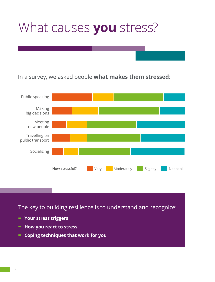### What causes **you** stress?

In a survey, we asked people **what makes them stressed**:



The key to building resilience is to understand and recognize:

- **- Your stress triggers**
- **- How you react to stress**
- **- Coping techniques that work for you**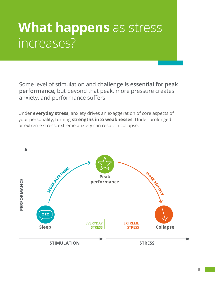### **What happens** as stress increases?

Some level of stimulation and **challenge is essential for peak performance,** but beyond that peak, more pressure creates anxiety, and performance suffers.

Under **everyday stress**, anxiety drives an exaggeration of core aspects of your personality, turning **strengths into weaknesses**. Under prolonged or extreme stress, extreme anxiety can result in collapse.

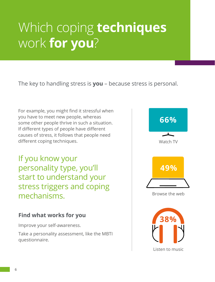## Which coping **techniques** work **for you**?

The key to handling stress is **you** – because stress is personal.

For example, you might find it stressful when you have to meet new people, whereas some other people thrive in such a situation. If different types of people have different causes of stress, it follows that people need different coping techniques.

If you know your personality type, you'll start to understand your stress triggers and coping mechanisms.

#### **Find what works for you**

Improve your self-awareness.

Take a personality assessment, like the MBTI questionnaire.

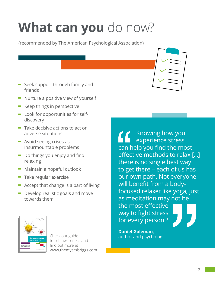# **What can you** do now?

(recommended by The American Psychological Association)

- **-** Seek support through family and friends
- **-** Nurture a positive view of yourself
- **-** Keep things in perspective
- **-** Look for opportunities for selfdiscovery
- **-** Take decisive actions to act on adverse situations
- **-** Avoid seeing crises as insurmountable problems
- **-** Do things you enjoy and find relaxing
- **-** Maintain a hopeful outlook
- **-** Take regular exercise
- **-** Accept that change is a part of living
- **-** Develop realistic goals and move towards them



Check our guide to self-awareness and find out more at www.themyersbriggs.com

Knowing how you experience stress can help you find the most effective methods to relax […] there is no single best way to get there – each of us has our own path. Not everyone will benefit from a bodyfocused relaxer like yoga, just as meditation may not be the most effective way to fight stress for every person.3

**Daniel Goleman, Self-awareness:** author and psychologist